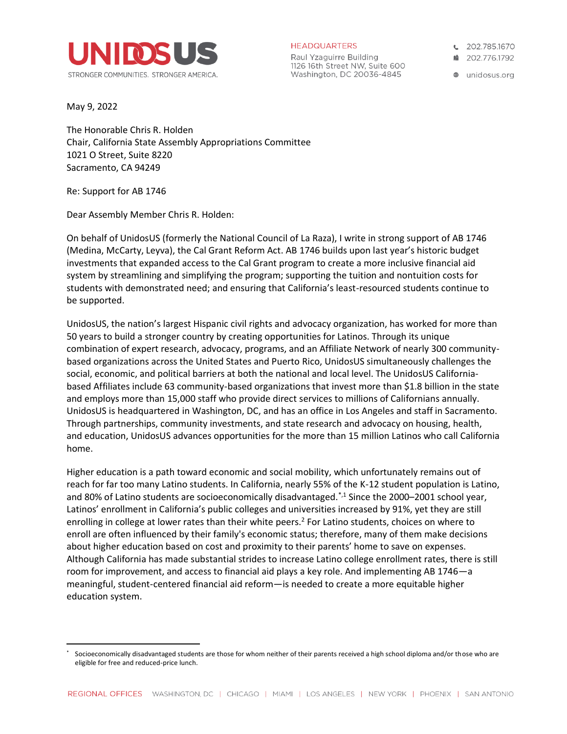

**HEADQUARTERS** 

Raul Yzaguirre Building 1126 16th Street NW, Suite 600 Washington, DC 20036-4845

€ 202.785.1670

■ 202.776.1792

● unidosus.org

May 9, 2022

The Honorable Chris R. Holden Chair, California State Assembly Appropriations Committee 1021 O Street, Suite 8220 Sacramento, CA 94249

Re: Support for AB 1746

Dear Assembly Member Chris R. Holden:

On behalf of UnidosUS (formerly the National Council of La Raza), I write in strong support of AB 1746 (Medina, McCarty, Leyva), the Cal Grant Reform Act. AB 1746 builds upon last year's historic budget investments that expanded access to the Cal Grant program to create a more inclusive financial aid system by streamlining and simplifying the program; supporting the tuition and nontuition costs for students with demonstrated need; and ensuring that California's least-resourced students continue to be supported.

UnidosUS, the nation's largest Hispanic civil rights and advocacy organization, has worked for more than 50 years to build a stronger country by creating opportunities for Latinos. Through its unique combination of expert research, advocacy, programs, and an Affiliate Network of nearly 300 communitybased organizations across the United States and Puerto Rico, UnidosUS simultaneously challenges the social, economic, and political barriers at both the national and local level. The UnidosUS Californiabased Affiliates include 63 community-based organizations that invest more than \$1.8 billion in the state and employs more than 15,000 staff who provide direct services to millions of Californians annually. UnidosUS is headquartered in Washington, DC, and has an office in Los Angeles and staff in Sacramento. Through partnerships, community investments, and state research and advocacy on housing, health, and education, UnidosUS advances opportunities for the more than 15 million Latinos who call California home.

Higher education is a path toward economic and social mobility, which unfortunately remains out of reach for far too many Latino students. In California, nearly 55% of the K-12 student population is Latino, and 80% of Latino students are socioeconomically disadvantaged.<sup>\*,1</sup> Since the 2000–2001 school year, Latinos' enrollment in California's public colleges and universities increased by 91%, yet they are still enrolling in college at lower rates than their white peers.<sup>2</sup> For Latino students, choices on where to enroll are often influenced by their family's economic status; therefore, many of them make decisions about higher education based on cost and proximity to their parents' home to save on expenses. Although California has made substantial strides to increase Latino college enrollment rates, there is still room for improvement, and access to financial aid plays a key role. And implementing AB 1746—a meaningful, student-centered financial aid reform—is needed to create a more equitable higher education system.

Socioeconomically disadvantaged students are those for whom neither of their parents received a high school diploma and/or those who are eligible for free and reduced-price lunch.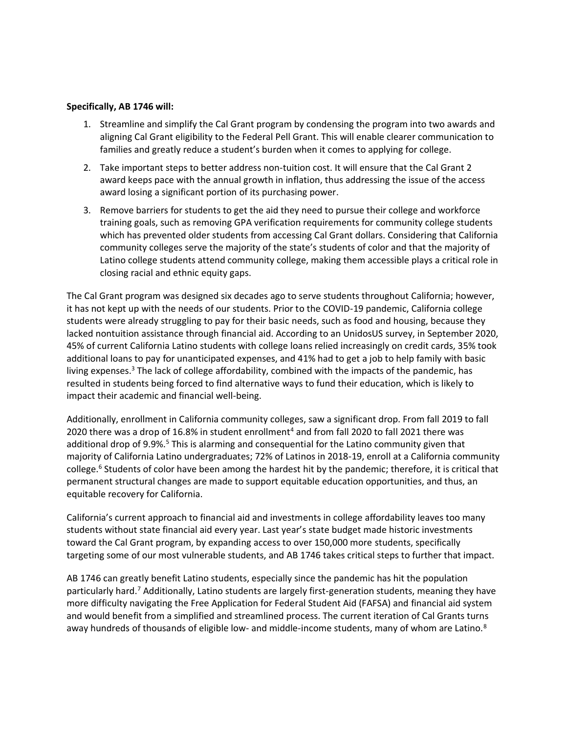## **Specifically, AB 1746 will:**

- 1. Streamline and simplify the Cal Grant program by condensing the program into two awards and aligning Cal Grant eligibility to the Federal Pell Grant. This will enable clearer communication to families and greatly reduce a student's burden when it comes to applying for college.
- 2. Take important steps to better address non-tuition cost. It will ensure that the Cal Grant 2 award keeps pace with the annual growth in inflation, thus addressing the issue of the access award losing a significant portion of its purchasing power.
- 3. Remove barriers for students to get the aid they need to pursue their college and workforce training goals, such as removing GPA verification requirements for community college students which has prevented older students from accessing Cal Grant dollars. Considering that California community colleges serve the majority of the state's students of color and that the majority of Latino college students attend community college, making them accessible plays a critical role in closing racial and ethnic equity gaps.

The Cal Grant program was designed six decades ago to serve students throughout California; however, it has not kept up with the needs of our students. Prior to the COVID-19 pandemic, California college students were already struggling to pay for their basic needs, such as food and housing, because they lacked nontuition assistance through financial aid. According to an UnidosUS survey, in September 2020, 45% of current California Latino students with college loans relied increasingly on credit cards, 35% took additional loans to pay for unanticipated expenses, and 41% had to get a job to help family with basic living expenses. $3$  The lack of college affordability, combined with the impacts of the pandemic, has resulted in students being forced to find alternative ways to fund their education, which is likely to impact their academic and financial well-being.

Additionally, enrollment in California community colleges, saw a significant drop. From fall 2019 to fall 2020 there was a drop of 16.8% in student enrollment<sup>4</sup> and from fall 2020 to fall 2021 there was additional drop of 9.9%.<sup>5</sup> This is alarming and consequential for the Latino community given that majority of California Latino undergraduates; 72% of Latinos in 2018-19, enroll at a California community college.<sup>6</sup> Students of color have been among the hardest hit by the pandemic; therefore, it is critical that permanent structural changes are made to support equitable education opportunities, and thus, an equitable recovery for California.

California's current approach to financial aid and investments in college affordability leaves too many students without state financial aid every year. Last year's state budget made historic investments toward the Cal Grant program, by expanding access to over 150,000 more students, specifically targeting some of our most vulnerable students, and AB 1746 takes critical steps to further that impact.

AB 1746 can greatly benefit Latino students, especially since the pandemic has hit the population particularly hard.<sup>7</sup> Additionally, Latino students are largely first-generation students, meaning they have more difficulty navigating the Free Application for Federal Student Aid (FAFSA) and financial aid system and would benefit from a simplified and streamlined process. The current iteration of Cal Grants turns away hundreds of thousands of eligible low- and middle-income students, many of whom are Latino.<sup>8</sup>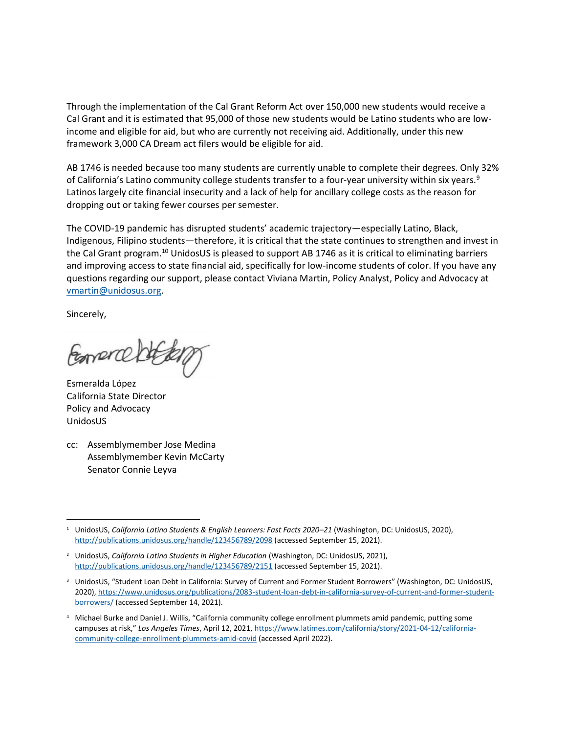Through the implementation of the Cal Grant Reform Act over 150,000 new students would receive a Cal Grant and it is estimated that 95,000 of those new students would be Latino students who are lowincome and eligible for aid, but who are currently not receiving aid. Additionally, under this new framework 3,000 CA Dream act filers would be eligible for aid.

AB 1746 is needed because too many students are currently unable to complete their degrees. Only 32% of California's Latino community college students transfer to a four-year university within six years.<sup>9</sup> Latinos largely cite financial insecurity and a lack of help for ancillary college costs as the reason for dropping out or taking fewer courses per semester.

The COVID-19 pandemic has disrupted students' academic trajectory—especially Latino, Black, Indigenous, Filipino students—therefore, it is critical that the state continues to strengthen and invest in the Cal Grant program.<sup>10</sup> UnidosUS is pleased to support AB 1746 as it is critical to eliminating barriers and improving access to state financial aid, specifically for low-income students of color. If you have any questions regarding our support, please contact Viviana Martin, Policy Analyst, Policy and Advocacy at [vmartin@unidosus.org.](mailto:vmartin@unidosus.org)

Sincerely,

Formence

Esmeralda López California State Director Policy and Advocacy UnidosUS

cc: Assemblymember Jose Medina Assemblymember Kevin McCarty Senator Connie Leyva

<sup>1</sup> UnidosUS, *California Latino Students & English Learners: Fast Facts 2020–21* (Washington, DC: UnidosUS, 2020), <http://publications.unidosus.org/handle/123456789/2098> (accessed September 15, 2021).

<sup>&</sup>lt;sup>2</sup> UnidosUS, *California Latino Students in Higher Education* (Washington, DC: UnidosUS, 2021), <http://publications.unidosus.org/handle/123456789/2151> (accessed September 15, 2021).

<sup>&</sup>lt;sup>3</sup> UnidosUS, "Student Loan Debt in California: Survey of Current and Former Student Borrowers" (Washington, DC: UnidosUS, 2020)[, https://www.unidosus.org/publications/2083-student-loan-debt-in-california-survey-of-current-and-former-student](https://www.unidosus.org/publications/2083-student-loan-debt-in-california-survey-of-current-and-former-student-borrowers/)[borrowers/](https://www.unidosus.org/publications/2083-student-loan-debt-in-california-survey-of-current-and-former-student-borrowers/) (accessed September 14, 2021).

<sup>4</sup> Michael Burke and Daniel J. Willis, "California community college enrollment plummets amid pandemic, putting some campuses at risk," *Los Angeles Times*, April 12, 2021, [https://www.latimes.com/california/story/2021-04-12/california](https://www.latimes.com/california/story/2021-04-12/california-community-college-enrollment-plummets-amid-covid)[community-college-enrollment-plummets-amid-covid](https://www.latimes.com/california/story/2021-04-12/california-community-college-enrollment-plummets-amid-covid) (accessed April 2022).